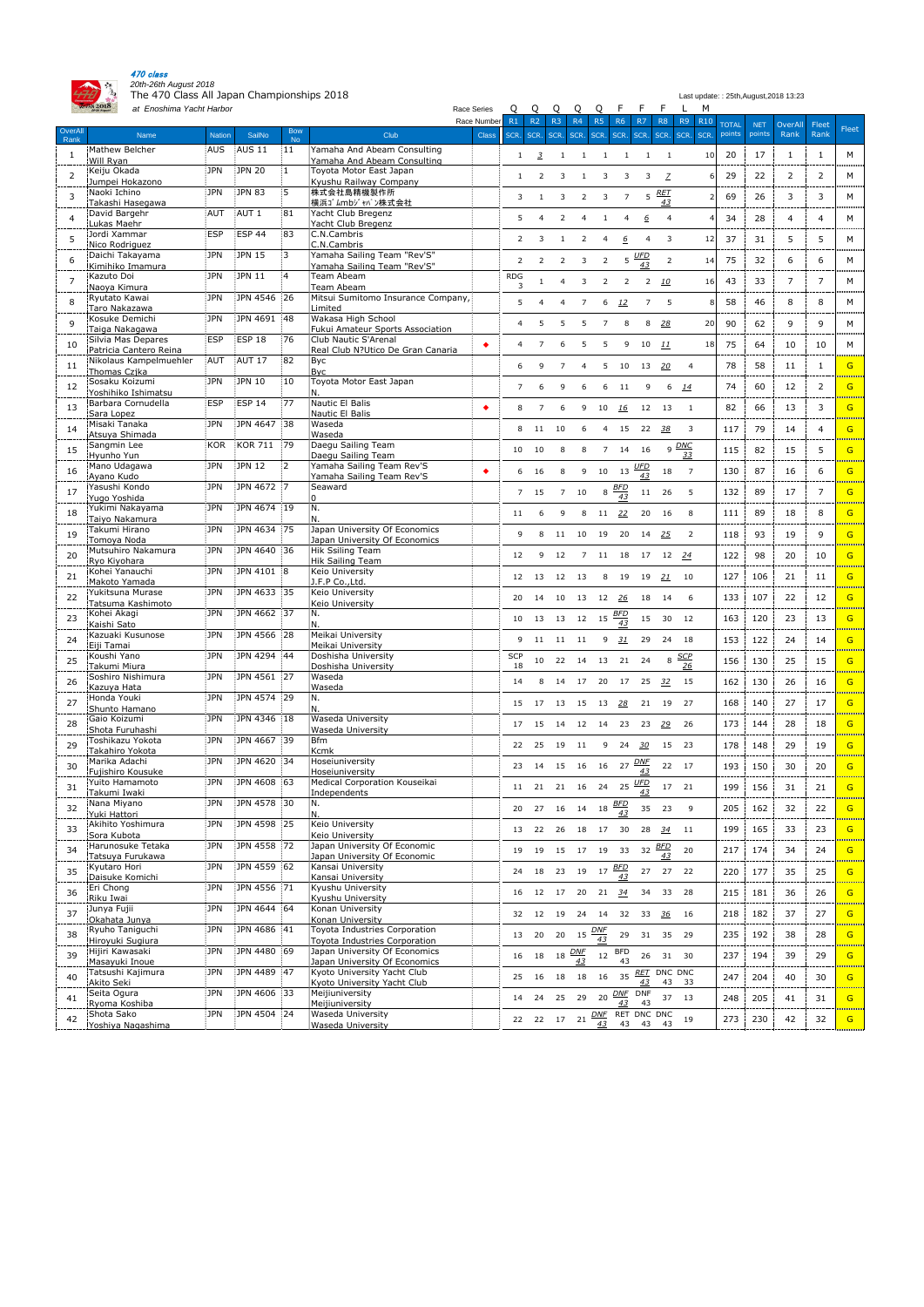

470 class *20th-26th August 2018*

The 470 Class All Japan Championships 2018 Last update: : 25th,August,2018 13:23

|                       | $\cos 2010$<br>at Enoshima Yacht Harbor<br>Race Series |               |                   |                         |                                                                |              | Q              | Q                        | Q              | Q                  | Q              |                  |                        | M                     |               |            |                |                |       |
|-----------------------|--------------------------------------------------------|---------------|-------------------|-------------------------|----------------------------------------------------------------|--------------|----------------|--------------------------|----------------|--------------------|----------------|------------------|------------------------|-----------------------|---------------|------------|----------------|----------------|-------|
|                       |                                                        |               |                   |                         |                                                                | Race Number  | R1             | R2                       | <b>R3</b>      | <b>R4</b>          | <b>R5</b>      | <b>R6</b>        | R7<br>R8               | R9<br><b>R10</b>      | <b>TOTAL</b>  | <b>NET</b> | OverAll        | Fleet          | Fleet |
| OverAll<br>Rank       | Name                                                   | <b>Nation</b> | SailNo            | <b>Bow</b><br><b>No</b> | Club                                                           | <b>Class</b> | SCR.           | SCR.                     | SCR. SCR.      |                    | SCR.           | SCR.             | SCR.                   | SCR.<br>SCR. SCR.     | points points |            | Rank           | Rank           |       |
|                       | Mathew Belcher                                         | <b>AUS</b>    | <b>AUS 11</b>     | 11                      | Yamaha And Abeam Consulting                                    |              |                | 3                        |                |                    |                |                  |                        | 10<br>$\overline{1}$  | 20            | 17         |                |                | м     |
|                       | Will Ryan                                              |               |                   |                         | Yamaha And Abeam Consulting                                    |              |                |                          |                |                    |                |                  |                        |                       |               |            |                |                |       |
| $\overline{2}$        | Keiju Okada<br>Jumpei Hokazono                         | <b>JPN</b>    | <b>JPN 20</b>     | 1                       | Toyota Motor East Japan<br>Kyushu Railway Company              |              |                |                          |                |                    |                |                  |                        | $\overline{Z}$        | 29            | 22         | $\overline{2}$ | 2              | М     |
|                       | Naoki Ichino                                           | <b>JPN</b>    | <b>JPN 83</b>     | 5                       | 株式会社島精機製作所                                                     |              |                |                          |                |                    |                |                  | <u>RET</u>             |                       |               |            |                |                |       |
|                       | Takashi Hasegawa                                       |               |                   |                         | 横浜ゴムmbジャパン株式会社                                                 |              | 3              |                          |                | 2                  |                | 7                | 5                      |                       | 69            | 26         | 3              | 3              | M     |
| $\boldsymbol{\Delta}$ | David Bargehr                                          | <b>AUT</b>    | AUT <sub>1</sub>  | :81                     | Yacht Club Bregenz                                             |              |                |                          |                |                    |                |                  | 6                      | $\boldsymbol{\Delta}$ | 34            | 28         |                | 4              | M     |
|                       | Lukas Maehr                                            |               |                   |                         | Yacht Club Bregenz                                             |              |                |                          |                |                    |                |                  |                        |                       |               |            |                |                |       |
| 5                     | Jordi Xammar<br>Nico Rodriguez                         | ESP           | <b>ESP 44</b>     | 83                      | C.N.Cambris<br>C.N.Cambris                                     |              |                |                          |                |                    |                | 6                |                        | 12<br>3               | 37            | 31         | 5              | 5              | M     |
|                       | Daichi Takayama                                        | <b>JPN</b>    | JPN 15            | 3                       | Yamaha Sailing Team "Rev'S"                                    |              |                |                          |                |                    |                |                  | <u>UFD</u>             |                       |               |            |                |                |       |
| 6                     | Kimihiko Imamura                                       |               |                   |                         | Yamaha Sailing Team "Rev'S"                                    |              |                |                          |                |                    |                | 5                | 43                     | 2<br>14               | 75            | 32         | 6              | 6              | M     |
|                       | Kazuto Doi                                             | <b>JPN</b>    | JPN 11            | $\overline{4}$          | Team Abeam                                                     |              | <b>RDG</b>     |                          |                |                    |                | 2                | <u> 10</u><br>2        | 16                    | 43            | 33         |                |                | M     |
|                       | Naoya Kimura<br>Ryutato Kawai                          | <b>JPN</b>    | JPN 4546 26       |                         | Team Abeam<br>Mitsui Sumitomo Insurance Company,               |              | 3              |                          |                |                    |                |                  |                        |                       |               |            |                |                |       |
|                       | Taro Nakazawa                                          |               |                   |                         | Limited                                                        |              |                |                          |                |                    | 6              | <u>12</u>        |                        | -5                    | 58            | 46         | 8              | 8              | M     |
| $\mathsf{Q}$          | Kosuke Demichi                                         | <b>JPN</b>    | JPN 4691 48       |                         | Wakasa High School                                             |              |                |                          |                |                    |                |                  | 28                     | 20                    | 90            | 62         | 9              | 9              | М     |
|                       | Taiga Nakagawa                                         |               |                   |                         | Fukui Amateur Sports Association                               |              |                |                          |                |                    |                |                  |                        |                       |               |            |                |                |       |
| 10                    | Silvia Mas Depares                                     | <b>ESP</b>    | ESP <sub>18</sub> | 76                      | Club Nautic S'Arenal                                           | $\bullet$    |                |                          |                |                    |                | q                | 10<br>11               | 18                    | 75            | 64         | 10             | 10             | M     |
|                       | Patricia Cantero Reina<br>Nikolaus Kampelmuehler       | <b>AUT</b>    | AUT 17            | 82                      | Real Club N?Utico De Gran Canaria<br>Byc                       |              |                |                          |                |                    |                |                  |                        |                       |               |            |                |                |       |
| 11                    | Thomas Czjka                                           |               |                   |                         | <b>Byc</b>                                                     |              | 6              |                          |                |                    |                | 10               | 20<br>13               | $\overline{4}$        | 78            | 58         | 11             | 1              | G     |
| 12                    | Sosaku Koizumi                                         | <b>JPN</b>    | JPN 10            | 10                      | Toyota Motor East Japan                                        |              | $\overline{7}$ |                          |                |                    |                | 11               |                        | 14<br>6               | 74            | 60         | 12             | 2              | G     |
|                       | Yoshihiko Ishimatsu                                    |               |                   |                         | N.                                                             |              |                |                          |                |                    |                |                  |                        |                       |               |            |                |                |       |
| 13                    | Barbara Cornudella<br>Sara Lopez                       | ESP           | <b>ESP 14</b>     | 77                      | Nautic El Balis<br>Nautic El Balis                             |              |                |                          |                |                    | 10             | <u>16</u>        | 12 13                  |                       | 82            | 66         | 13             | 3              | G     |
|                       | Misaki Tanaka                                          | <b>JPN</b>    | JPN 4647 38       |                         | Waseda                                                         |              |                |                          |                |                    |                |                  |                        |                       |               |            |                |                |       |
| 14                    | Atsuya Shimada                                         |               |                   |                         | Waseda                                                         |              | 8              | 11                       | 10             |                    | 4              | 15               | 38<br>22               | 3                     | 117           | 79         | 14             |                | G     |
| 15                    | Sangmin Lee                                            | <b>KOR</b>    | <b>KOR 711</b>    | 79                      | Daegu Sailing Team                                             |              | 10             | 10                       | 8              |                    | 7              | 14               | 16                     | $9$ DNC               | 115           | 82         | 15             | 5              | G     |
|                       | Hyunho Yun                                             |               |                   |                         | Daegu Sailing Team                                             |              |                |                          |                |                    |                |                  |                        | 33                    |               |            |                |                |       |
| -16                   | Mano Udagawa<br>Ayano Kudo                             | <b>JPN</b>    | JPN 12            | $\overline{2}$          | Yamaha Sailing Team Rev'S<br>Yamaha Sailing Team Rev'S         |              | 6              | 16                       | 8              | 9                  | 10             | 13               | <u>UFD</u><br>18<br>43 |                       | 130           | 87         | 16             | 6              | G     |
|                       | Yasushi Kondo                                          | <b>JPN</b>    | JPN 4672 7        |                         | Seaward                                                        |              |                |                          |                |                    |                | <u>BFD</u>       |                        |                       |               |            |                |                |       |
| 17                    | Yugo Yoshida                                           |               |                   |                         |                                                                |              |                | $7$ 15                   | $7^{\circ}$    | 10                 | 8              |                  | 11<br>26               | -5                    | 132           | 89         | 17             | $\overline{7}$ | G     |
| 18                    | Yukimi Nakayama                                        | <b>JPN</b>    | JPN 4674 19       |                         |                                                                |              | 11             |                          | q              | 8                  | 11             | $\overline{22}$  | 20<br>16               | 8                     | 111           | 89         | 18             | 8              | G     |
|                       | Taiyo Nakamura                                         | <b>JPN</b>    | JPN 4634 75       |                         | N.<br>Japan University Of Economics                            |              |                |                          |                |                    |                |                  |                        |                       |               |            |                |                |       |
| 19                    | Takumi Hirano<br>Tomoya Noda                           |               |                   |                         | Japan University Of Economics                                  |              | 9              |                          | 8 11           | 10                 | 19             | 20               | 14<br>25               | 2                     | 118           | 93         | 19             | 9              | G     |
|                       | Mutsuhiro Nakamura                                     | <b>JPN</b>    | JPN 4640 36       |                         | Hik Ssiling Team                                               |              |                |                          |                |                    |                |                  |                        |                       |               |            |                |                |       |
| 20                    | Ryo Kiyohara                                           |               |                   |                         | Hik Sailing Team                                               |              | 12             | 9                        | 12             | 7                  |                | 11 18            | 17                     | 12<br>$\frac{24}{5}$  | 122           | 98         | 20             | 10             | G     |
| 21                    | Kohei Yanauchi                                         | <b>JPN</b>    | JPN 4101 8        |                         | Keio University                                                |              | 12             | 13                       | 12             | 13                 | 8              | 19               | 19<br>21               | 10                    | 127           | 106        | 21             | 11             | G     |
|                       | Makoto Yamada<br>Yukitsuna Murase                      | <b>JPN</b>    | JPN 4633 35       |                         | J.F.P Co., Ltd.<br>Keio University                             |              |                |                          |                |                    |                |                  |                        |                       |               |            |                |                |       |
| 22                    | Tatsuma Kashimoto                                      |               |                   |                         | Keio University                                                |              | 20             | 14                       | 10             | 13                 | 12             | $\frac{26}{5}$   | 18<br>14               | -6                    | 133           | 107        | 22             | 12             | G     |
| 23                    | Kohei Akagi                                            | <b>JPN</b>    | JPN 4662 37       |                         | N.                                                             |              |                | 13                       |                |                    |                |                  |                        | 30<br>12              | 163           |            | 23             | 13             | G     |
|                       | Kaishi Sato                                            |               |                   |                         | N.                                                             |              | 10             |                          |                | 13 12 15           |                | $rac{BFD}{43}$   | 15                     |                       |               | 120        |                |                |       |
| 24                    | Kazuaki Kusunose                                       | <b>JPN</b>    | JPN 4566 28       |                         | Meikai University                                              |              | 9              |                          | 11 11 11       |                    | 9              | 31               | 29                     | 24<br>18              | 153           | 122        | 24             | 14             | G     |
|                       | Eiji Tamai<br>Koushi Yano                              | <b>JPN</b>    | JPN 4294 44       |                         | Meikai University<br>Doshisha University                       |              | <b>SCP</b>     |                          |                |                    |                |                  |                        | <b>SCP</b>            |               |            |                |                |       |
| 25                    | Takumi Miura                                           |               |                   |                         | Doshisha University                                            |              | 18             |                          |                | 10 22 14 13        |                | 21 24            |                        | 8<br><u> 26</u>       | 156           | 130        | 25             | 15             | G     |
| 26                    | Soshiro Nishimura                                      | <b>JPN</b>    | JPN 4561 27       |                         | Waseda                                                         |              | 14             | 8                        | 14             | 17                 | 20             | 17               | 32<br>25               | 15                    | 162           | 130        | 26             | 16             | G     |
|                       | Kazuya Hata                                            |               |                   |                         | Waseda                                                         |              |                |                          |                |                    |                |                  |                        |                       |               |            |                |                |       |
| 27                    | Honda Youki<br>Shunto Hamano                           | <b>JPN</b>    | JPN 4574 29       |                         | N.<br>N.                                                       |              | 15             | 17                       | 13             | 15                 | 13             | 28               | 19<br>21               | 27                    | 168           | 140        | 27             | 17             | G     |
|                       | Gaio Koizumi                                           | <b>JPN</b>    | JPN 4346 18       |                         | <b>Waseda University</b>                                       |              |                |                          |                |                    |                |                  |                        |                       |               |            |                |                |       |
| 28                    | Shota Furuhashi                                        |               |                   |                         | Waseda University                                              |              | 17             | 15                       | 14             | 12                 | 14             | 23               | 23<br>29               | 26                    | 173           | 144        | 28             | 18             | G     |
| 29                    | Toshikazu Yokota                                       | <b>JPN</b>    | JPN 4667 39       |                         | <b>Bfm</b>                                                     |              | 22             | 25                       | 19             | 11                 | 9              | 24               | 30                     | 15<br>-23             | 178           | 148        | 29             | 19             | G     |
|                       | Takahiro Yokota                                        |               |                   |                         | Kcmk                                                           |              |                |                          |                |                    |                |                  |                        |                       |               |            |                |                |       |
| 30                    | Marika Adachi<br>Fujishiro Kousuke                     | <b>JPN</b>    | JPN 4620 34       |                         | Hoseiuniversity<br>Hoseiuniversity                             |              | 23             |                          |                | 14  15  16  16  27 |                |                  | <u>DNF</u>             | 22 17                 | 193           | 150        | 30             | 20             | G     |
|                       | Yuito Hamamoto                                         | <b>JPN</b>    | JPN 4608 63       |                         | Medical Corporation Kouseikai                                  |              |                |                          |                |                    |                |                  | <u>UFD</u>             |                       |               |            |                |                |       |
| 31                    | Takumi Iwaki                                           |               |                   |                         | Independents                                                   |              | 11             |                          |                | 21  21  16  24  25 |                |                  |                        | 17 21                 | 199           | 156        | 31             | 21             | G     |
| 32                    | Nana Miyano                                            | <b>JPN</b>    | JPN 4578 30       |                         | N.                                                             |              | 20             | 27                       |                | 16  14  18         |                | $\frac{BFD}{43}$ | 35<br>23               | 9                     | 205           | 162        | 32             | 22             | G     |
|                       | Yuki Hattori<br>Akihito Yoshimura                      | <b>JPN</b>    | JPN 4598 25       |                         | Keio University                                                |              |                |                          |                |                    |                |                  |                        |                       |               |            |                |                |       |
| 33                    | Sora Kubota                                            |               |                   |                         | Keio University                                                |              | 13             | 22                       | 26             | 18                 | 17             | 30               | 28<br>$\overline{34}$  | <b>11</b>             | 199           | 165        | 33             | 23             | G     |
| 34                    | Harunosuke Tetaka                                      |               | JPN JPN 4558 72   |                         | Japan University Of Economic                                   |              | 19             |                          |                | 19  15  17  19     |                | 33               | <b>BFD</b><br>32       | 20                    | 217           | 174        | 34             | 24             |       |
| -----                 | Tatsuya Furukawa                                       |               |                   |                         | Japan University Of Economic                                   |              |                |                          |                |                    |                |                  |                        |                       |               |            |                |                | G     |
| 35                    | Kyutaro Hori                                           | <b>JPN</b>    | JPN 4559 62       |                         | Kansai University                                              |              |                | 24 18                    |                | 23 19 17           |                | $\frac{BFD}{43}$ | 27                     | 27 22                 | 220           | 177        | 35             | 25             | G     |
|                       | Daisuke Komichi<br>Eri Chong                           | JPN           | JPN 4556 71       |                         | Kansai University<br>Kyushu University                         |              |                |                          |                |                    |                |                  |                        |                       |               |            |                |                |       |
| 36                    | Riku Iwai                                              |               |                   |                         | Kyushu University                                              |              |                |                          | 16 12 17       | 20 21 34           |                |                  | 34                     | 33 28                 | 215           | 181        | 36             | 26             | G     |
| -----<br>37           | Junya Fujii                                            | <b>JPN</b>    | JPN 4644 64       |                         | Konan University                                               |              |                | 32 12 19                 |                | 24 14              |                | 32               | 33<br><u>36</u>        | 16                    | 218           | 182        | 37             | 27             | G     |
|                       | Okahata Junya                                          |               |                   |                         | Konan University                                               |              |                |                          |                |                    |                |                  |                        |                       |               |            |                |                |       |
| 38                    | Ryuho Taniguchi                                        | <b>JPN</b>    | JPN 4686 41       |                         | Toyota Industries Corporation                                  |              | 13             | 20                       |                | 20 15              | $rac{DNF}{43}$ | 29               | 31                     | 35<br>29              | 235           | 192        | 38             | 28             | G     |
|                       | Hiroyuki Sugiura<br>Hijiri Kawasaki                    | <b>JPN</b>    | JPN 4480 69       |                         | Toyota Industries Corporation<br>Japan University Of Economics |              |                |                          |                |                    |                | <b>BFD</b>       |                        |                       |               |            |                |                |       |
| 39                    | Masayuki Inoue                                         |               |                   |                         | Japan University Of Economics                                  |              |                | $16 \qquad 18 \qquad 18$ |                | $\frac{DNF}{43}$   | 12             | 43               | 26                     | 31 30                 | 237           | 194        | 39             | 29             | G     |
| 40                    | Tatsushi Kajimura                                      | <b>JPN</b>    | JPN 4489 47       |                         | Kyoto University Yacht Club                                    |              | 25             | 16                       | 18             | 18                 | 16             | 35               | RET DNC DNC            |                       | 247           | 204        | 40             | 30             | G     |
|                       | Akito Seki                                             |               |                   |                         | Kyoto University Yacht Club                                    |              |                |                          |                |                    |                |                  | <u>43</u>              | 43 33                 |               |            |                |                |       |
| 41                    | Seita Ogura<br>Ryoma Koshiba                           | <b>JPN</b>    | JPN 4606 33       |                         | Meijiuniversity<br>Meijiuniversity                             |              | 14             | 24                       | 25             | 29                 | 20             | <u>DNF</u><br>43 | <b>DNF</b><br>43       | 37<br>13              | 248           | 205        | 41             | 31             | G     |
|                       | Shota Sako                                             | <b>JPN</b>    | JPN 4504 24       |                         | <b>Waseda University</b>                                       |              |                |                          |                |                    | <u>DNF</u>     |                  | RET DNC DNC            |                       |               |            |                |                |       |
| 42<br>i-------        | Yoshiya Nagashima                                      |               |                   |                         | <b>Waseda University</b>                                       |              |                |                          | 22  22  17  21 |                    | <u>43</u>      | 43               | 43 43                  | 19                    | 273           | 230        | 42             | 32             | G     |